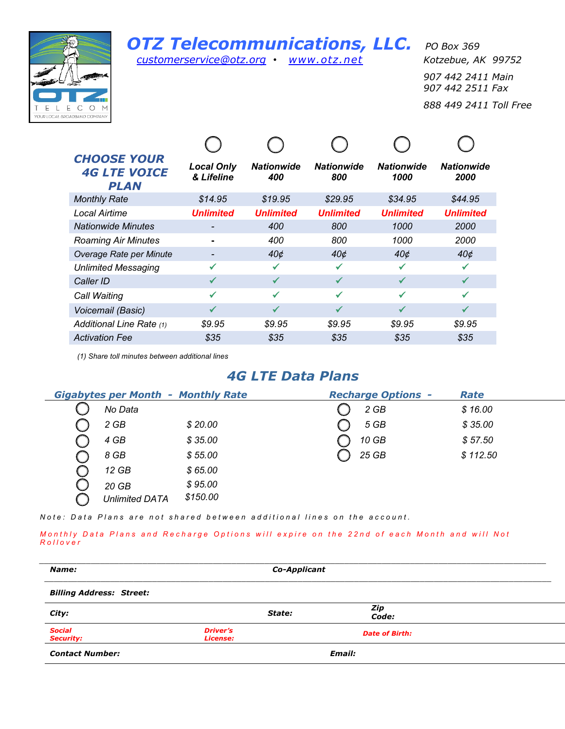

## *OTZ Telecommunications, LLC. PO Box 369*

*customerservice@otz.org • www.otz.net Kotzebue, AK 99752*

*907 442 2411 Main 907 442 2511 Fax 888 449 2411 Toll Free*

| <b>CHOOSE YOUR</b><br><b>4G LTE VOICE</b><br><b>PLAN</b> | <b>Local Only</b><br>& Lifeline | <b>Nationwide</b><br>400 | <b>Nationwide</b><br>800 | <b>Nationwide</b><br>1000 | <b>Nationwide</b><br>2000 |
|----------------------------------------------------------|---------------------------------|--------------------------|--------------------------|---------------------------|---------------------------|
| <b>Monthly Rate</b>                                      | \$14.95                         | \$19.95                  | \$29.95                  | \$34.95                   | \$44.95                   |
| Local Airtime                                            | <b>Unlimited</b>                | <b>Unlimited</b>         | <b>Unlimited</b>         | <b>Unlimited</b>          | <b>Unlimited</b>          |
| <b>Nationwide Minutes</b>                                |                                 | 400                      | 800                      | 1000                      | <b>2000</b>               |
| <b>Roaming Air Minutes</b>                               |                                 | 400                      | 800                      | 1000                      | 2000                      |
| Overage Rate per Minute                                  |                                 | $40\circ$                | 40¢                      | $40\circ$                 | 40¢                       |
| <b>Unlimited Messaging</b>                               |                                 | ✓                        | ✔                        | ✓                         | ✔                         |
| Caller ID                                                |                                 | ✔                        | ✓                        | ✓                         | ✓                         |
| Call Waiting                                             | ✓                               | ✓                        | ✓                        | ✓                         | ✓                         |
| Voicemail (Basic)                                        | ✓                               | ✓                        | ✓                        | ✓                         | ✓                         |
| Additional Line Rate (1)                                 | \$9.95                          | \$9.95                   | \$9.95                   | \$9.95                    | \$9.95                    |
| <b>Activation Fee</b>                                    | \$35                            | \$35                     | \$35                     | \$35                      | \$35                      |

*(1) Share toll minutes between additional lines*

## *4G LTE Data Plans*

| <b>Gigabytes per Month - Monthly Rate</b> |          | <b>Recharge Options -</b> | Rate     |
|-------------------------------------------|----------|---------------------------|----------|
| No Data                                   |          | 2 GB                      | \$16.00  |
| 2 GB                                      | \$20.00  | 5 GB                      | \$35.00  |
| 4 GB                                      | \$35.00  | 10 GB                     | \$57.50  |
| 8 GB                                      | \$55.00  | 25 GB                     | \$112.50 |
| $12$ GB                                   | \$65.00  |                           |          |
| $20$ GB                                   | \$95.00  |                           |          |
| <b>Unlimited DATA</b>                     | \$150.00 |                           |          |

*Note: Data Plans are not shared between additional lines on the account.*

*Mont hly Data Plans and Recharge Options will expire on the 22nd of each Month and will Not Rollover* 

| Name:                             | Co-Applicant                              |        |                       |  |
|-----------------------------------|-------------------------------------------|--------|-----------------------|--|
| <b>Billing Address: Street:</b>   |                                           |        |                       |  |
| City:                             |                                           | State: | Zip<br>Code:          |  |
| <b>Social</b><br><b>Security:</b> | <b>Driver's</b><br><i><b>License:</b></i> |        | <b>Date of Birth:</b> |  |
| <b>Contact Number:</b>            |                                           | Email: |                       |  |